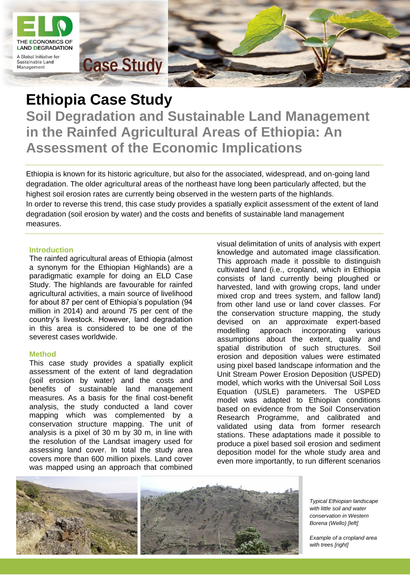

# **Ethiopia Case Study Soil Degradation and Sustainable Land Management in the Rainfed Agricultural Areas of Ethiopia: An Assessment of the Economic Implications**

Ethiopia is known for its historic agriculture, but also for the associated, widespread, and on-going land degradation. The older agricultural areas of the northeast have long been particularly affected, but the highest soil erosion rates are currently being observed in the western parts of the highlands.

In order to reverse this trend, this case study provides a spatially explicit assessment of the extent of land degradation (soil erosion by water) and the costs and benefits of sustainable land management measures.

### **Introduction**

The rainfed agricultural areas of Ethiopia (almost a synonym for the Ethiopian Highlands) are a paradigmatic example for doing an ELD Case Study. The highlands are favourable for rainfed agricultural activities, a main source of livelihood for about 87 per cent of Ethiopia's population (94 million in 2014) and around 75 per cent of the country's livestock. However, land degradation in this area is considered to be one of the severest cases worldwide.

### **Method**

This case study provides a spatially explicit assessment of the extent of land degradation (soil erosion by water) and the costs and benefits of sustainable land management measures. As a basis for the final cost-benefit analysis, the study conducted a land cover mapping which was complemented by a conservation structure mapping. The unit of analysis is a pixel of 30 m by 30 m, in line with the resolution of the Landsat imagery used for assessing land cover. In total the study area covers more than 600 million pixels. Land cover was mapped using an approach that combined

visual delimitation of units of analysis with expert knowledge and automated image classification. This approach made it possible to distinguish cultivated land (i.e., cropland, which in Ethiopia consists of land currently being ploughed or harvested, land with growing crops, land under mixed crop and trees system, and fallow land) from other land use or land cover classes. For the conservation structure mapping, the study devised on an approximate expert-based modelling approach incorporating various assumptions about the extent, quality and spatial distribution of such structures. Soil erosion and deposition values were estimated using pixel based landscape information and the Unit Stream Power Erosion Deposition (USPED) model, which works with the Universal Soil Loss Equation (USLE) parameters. The USPED model was adapted to Ethiopian conditions based on evidence from the Soil Conservation Research Programme, and calibrated and validated using data from former research stations. These adaptations made it possible to produce a pixel based soil erosion and sediment deposition model for the whole study area and even more importantly, to run different scenarios



*Typical Ethiopian landscape with little soil and water conservation in Western Borena (Wello) [left]*

*Example of a cropland area*